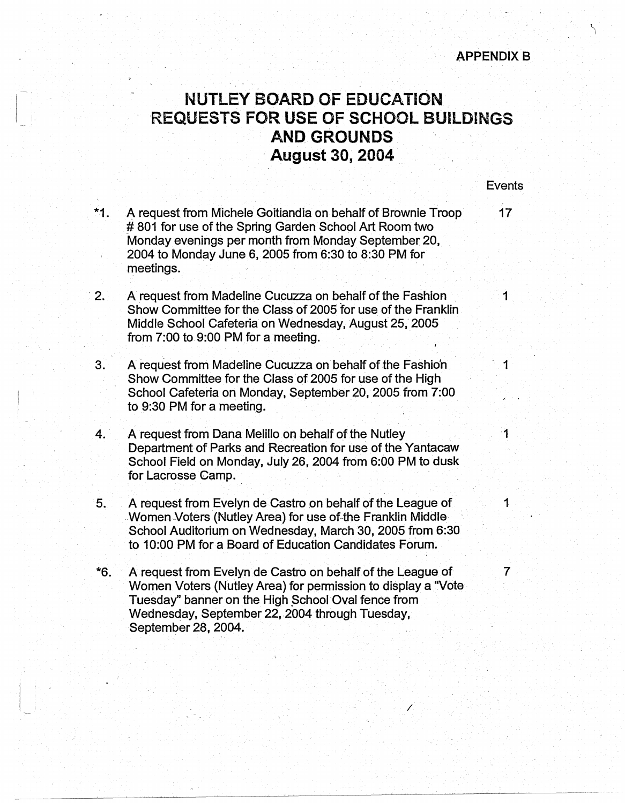## **APPENDIX 8**

## **NUTLEY BOARD OF EDUCATION REQUESTS FOR USE OF SCHOOL BUILDINGS AND GROUNDS**  · **August 30, 2004**

**Events** 

\*1. A request from Michele Goitiandia on behalf of Brownie Troop 17 # 801 for use of the Spring Garden School Art Room two Monday evenings per month from Monday September 20, 2004 to Monday June 6, 2005 from 6:30 to 8:30 PM for meetings.

 $\vert \ \ \vert$ 

 $\frac{1}{2}$ 

- 2. A request from Madeline Cucuzza on behalf of the Fashion 1 Show Committee for the Class of 2005 for use of the Franklin Middle School Cafeteria on Wednesday, August 25, 2005 from 7:00 to 9:00 PM for a meeting.
- 3. A request from Madeline Cucuzza on behalf of the Fashion 1 Show Committee for the Class of 2005 for use of the High School Cafeteria on Monday, September 20, 2005 from 7:00 to 9:30 PM for a meeting.
- 4. A request from Dana Melillo on behalf of the Nutley 19th A request from Dana Melillo on behalf of the Nutley Department of Parks and Recreation for use of the Yantacaw School Field on Monday, July 26, 2004 from 6:00 PM to dusk for Lacrosse Camp.
- 5. A request from Evelyn de Castro on behalf of the League of 1 Women Voters (Nutley Area) for use of the Franklin Middle School Auditorium on Wednesday, March 30, 2005 from 6:30 to 10:00 PM for a Board of Education Candidates Forum.
- \*6. A request from Evelyn de Castro on behalf of the League of 7 Women Voters (Nutley Area) for permission to display a "Vote Tuesday" banner on the High School Oval fence from Wednesday, September 22, 2004 through Tuesday, September 28, 2004.

/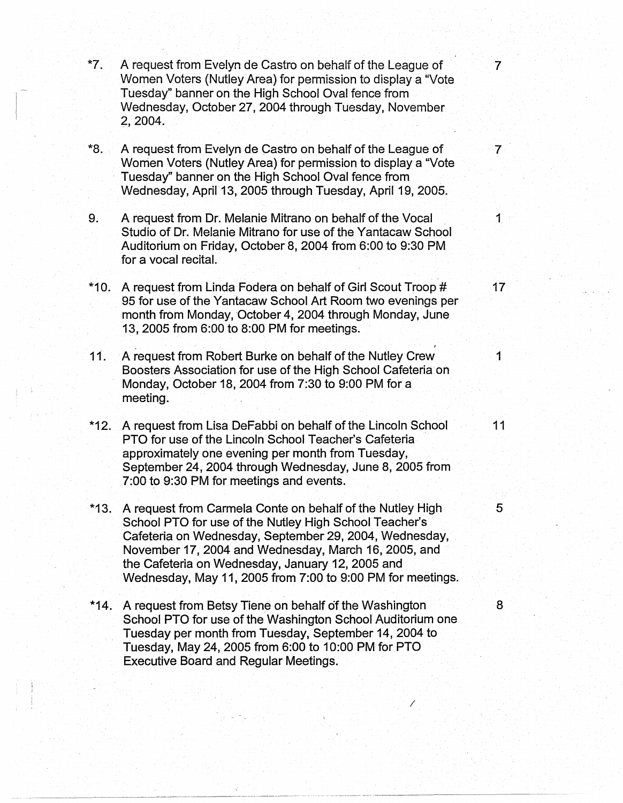- **\*7.** A request from Evelyn de Castro on behalf of the League of 7 Women Voters (Nutley Area} for permissioh to display a "Vote Tuesday" banner on the High School Oval fence from Wednesday, October 27, 2004 through Tuesday, November 2, 2004,
- **\*8.** A request from Evelyn de Castro on behalf of the League of 7 Women Voters (Nutley Area) for permission to display a "Vote Tuesday" banner on the High School Oval fence from Wednesday, April· 13, 2005 through Tuesday, April 19, 2005.
- 9. A request from Dr. Melanie Mitrano on behalf of the Vocal 11 1 Studio of Dr. Melanie Mitrano for use of the Yantacaw School Auditorium on Friday, October 8, 2004 from 6:00 to 9:30 PM for a vocal recital.
- \*10. A request from Linda Fodera on behalf of Girl Scout Troop # 17 95 for use of the Yantacaw School Art Room two evenings per month from Monday, October 4, 2004 through Monday, June 13, 2005 from 6:00 to 8:00 PM for meetings.
- **11.** A request from Robert Burke on behalf of the Nutley Crew 1 Boosters Association for use of the High School Cafeteria on Monday, October 18, 2004 from 7:30 to 9:00 PM for a meeting.
- **\*12.** A request from Lisa DeFabbi on behalf of the Lincoln School 11 PTO for use of the Lincoln School Teacher's Cafeteria approximately one evening per month from Tuesday, September 24, 2004 through Wednesday, June 8, 2005 from 7:00 to 9:30 PM for meetings and events.
- \*13. A request from Carmela Conte on behalf of the Nutley High 5 School PTO for use of the Nutley High School Teacher's Cafeteria on Wednesday, September 29, 2004, Wednesday, November 17, 2004 and Wednesday, March 16, 2005, and the Cafeteria on Wednesday, January 12, 2005 and Wednesday, May 11, 2005 from 7:00 to 9:00 PM for meetings.
- \*14. A request from Betsy Tiene on behalf of the Washington 8 School PTO for use of the Washington School Auditorium one Tuesday per month from Tuesday, September 14, 2004 to Tuesday, May 24, 2005 from 6:00 to 10:00 PM for PTO Executive Board and Regular Meetings.

*I* 

/